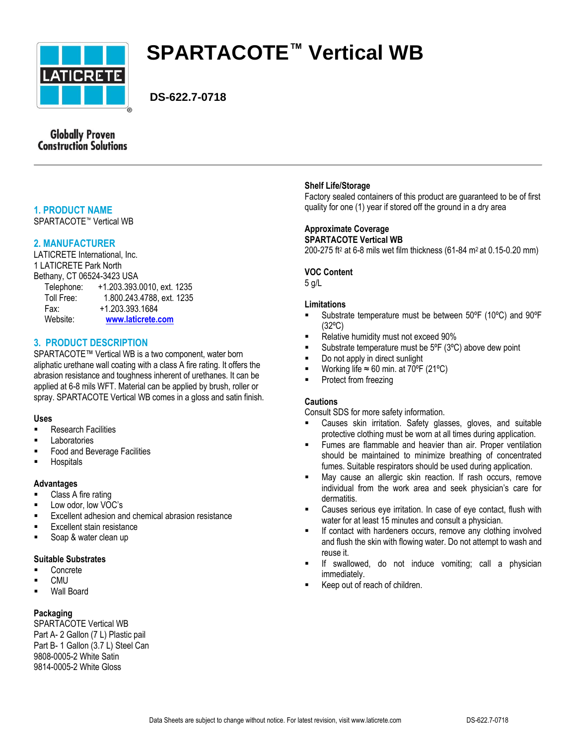

# **SPARTACOTE™ Vertical WB**

 **DS-622.7-0718**

# **Globally Proven Construction Solutions**

# **1. PRODUCT NAME**

SPARTACOTE™ Vertical WB

# **2. MANUFACTURER**

LATICRETE International, Inc. 1 LATICRETE Park North Bethany, CT 06524-3423 USA Telephone: +1.203.393.0010, ext. 1235 Toll Free: 1.800.243.4788, ext. 1235 Fax: +1.203.393.1684 Website: **[www.laticrete.com](file://nt_server2/ntserver/DataSheets/SPD%20Product%20Data%20Sheets/SPD%20Product%20Data%20Sheets/SPARTACOTE%20Data%20Sheets/Converted-Revised%20Data%20Sheets/English/Word/www.laticrete.com)**

# **3. PRODUCT DESCRIPTION**

SPARTACOTE™ Vertical WB is a two component, water born aliphatic urethane wall coating with a class A fire rating. It offers the abrasion resistance and toughness inherent of urethanes. It can be applied at 6-8 mils WFT. Material can be applied by brush, roller or spray. SPARTACOTE Vertical WB comes in a gloss and satin finish.

# **Uses**

- Research Facilities
- **Laboratories**
- Food and Beverage Facilities
- **Hospitals**

#### **Advantages**

- **EXECUTE:** Class A fire rating
- **Low odor, low VOC's**
- **Excellent adhesion and chemical abrasion resistance**
- Excellent stain resistance
- Soap & water clean up

#### **Suitable Substrates**

- Concrete
- CMU
- Wall Board

# **Packaging**

SPARTACOTE Vertical WB Part A- 2 Gallon (7 L) Plastic pail Part B- 1 Gallon (3.7 L) Steel Can 9808-0005-2 White Satin 9814-0005-2 White Gloss

### **Shelf Life/Storage**

Factory sealed containers of this product are guaranteed to be of first quality for one (1) year if stored off the ground in a dry area

# **Approximate Coverage**

**SPARTACOTE Vertical WB** 200-275 ft<sup>2</sup> at 6-8 mils wet film thickness (61-84 m<sup>2</sup> at 0.15-0.20 mm)

#### **VOC Content**

5 g/L

# **Limitations**

- Substrate temperature must be between 50ºF (10ºC) and 90ºF (32ºC)
- Relative humidity must not exceed 90%
- Substrate temperature must be 5ºF (3ºC) above dew point
- Do not apply in direct sunlight
- Working life  $\approx 60$  min. at 70°F (21°C)
- **Protect from freezing**

# **Cautions**

Consult SDS for more safety information.

- Causes skin irritation. Safety glasses, gloves, and suitable protective clothing must be worn at all times during application.
- Fumes are flammable and heavier than air. Proper ventilation should be maintained to minimize breathing of concentrated fumes. Suitable respirators should be used during application.
- May cause an allergic skin reaction. If rash occurs, remove individual from the work area and seek physician's care for dermatitis.
- Causes serious eye irritation. In case of eye contact, flush with water for at least 15 minutes and consult a physician.
- **If contact with hardeners occurs, remove any clothing involved** and flush the skin with flowing water. Do not attempt to wash and reuse it.
- If swallowed, do not induce vomiting; call a physician immediately.
- Keep out of reach of children.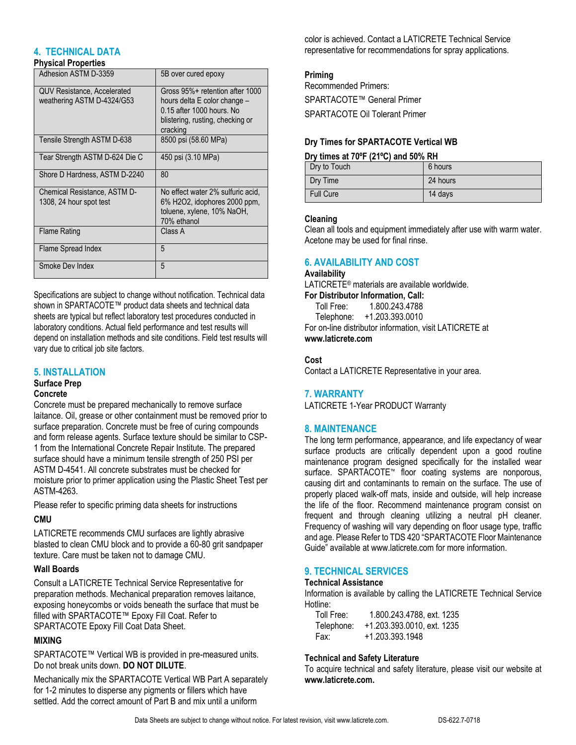# **4. TECHNICAL DATA**

#### **Physical Properties**

| Adhesion ASTM D-3359                                             | 5B over cured epoxy                                                                                                                          |
|------------------------------------------------------------------|----------------------------------------------------------------------------------------------------------------------------------------------|
| <b>QUV Resistance, Accelerated</b><br>weathering ASTM D-4324/G53 | Gross 95%+ retention after 1000<br>hours delta E color change -<br>0.15 after 1000 hours. No<br>blistering, rusting, checking or<br>cracking |
| Tensile Strength ASTM D-638                                      | 8500 psi (58.60 MPa)                                                                                                                         |
| Tear Strength ASTM D-624 Die C                                   | 450 psi (3.10 MPa)                                                                                                                           |
| Shore D Hardness, ASTM D-2240                                    | 80                                                                                                                                           |
| Chemical Resistance, ASTM D-<br>1308, 24 hour spot test          | No effect water 2% sulfuric acid,<br>6% H2O2, idophores 2000 ppm,<br>toluene, xylene, 10% NaOH,<br>70% ethanol                               |
| <b>Flame Rating</b>                                              | Class A                                                                                                                                      |
| Flame Spread Index                                               | 5                                                                                                                                            |
| Smoke Dev Index                                                  | 5                                                                                                                                            |

Specifications are subject to change without notification. Technical data shown in SPARTACOTE™ product data sheets and technical data sheets are typical but reflect laboratory test procedures conducted in laboratory conditions. Actual field performance and test results will depend on installation methods and site conditions. Field test results will vary due to critical job site factors.

#### **5. INSTALLATION**

# **Surface Prep**

## **Concrete**

Concrete must be prepared mechanically to remove surface laitance. Oil, grease or other containment must be removed prior to surface preparation. Concrete must be free of curing compounds and form release agents. Surface texture should be similar to CSP-1 from the International Concrete Repair Institute. The prepared surface should have a minimum tensile strength of 250 PSI per ASTM D-4541. All concrete substrates must be checked for moisture prior to primer application using the Plastic Sheet Test per ASTM-4263.

Please refer to specific priming data sheets for instructions

#### **CMU**

LATICRETE recommends CMU surfaces are lightly abrasive blasted to clean CMU block and to provide a 60-80 grit sandpaper texture. Care must be taken not to damage CMU.

#### **Wall Boards**

Consult a LATICRETE Technical Service Representative for preparation methods. Mechanical preparation removes laitance, exposing honeycombs or voids beneath the surface that must be filled with SPARTACOTE™ Epoxy Fill Coat. Refer to SPARTACOTE Epoxy Fill Coat Data Sheet.

#### **MIXING**

SPARTACOTE™ Vertical WB is provided in pre-measured units. Do not break units down. **DO NOT DILUTE**.

Mechanically mix the SPARTACOTE Vertical WB Part A separately for 1-2 minutes to disperse any pigments or fillers which have settled. Add the correct amount of Part B and mix until a uniform

color is achieved. Contact a LATICRETE Technical Service representative for recommendations for spray applications.

## **Priming**

Recommended Primers: SPARTACOTE™ General Primer SPARTACOTE Oil Tolerant Primer

### **Dry Times for SPARTACOTE Vertical WB**

#### **Dry times at 70ºF (21ºC) and 50% RH**

| Dry to Touch     | 6 hours  |
|------------------|----------|
| Dry Time         | 24 hours |
| <b>Full Cure</b> | 14 days  |

#### **Cleaning**

Clean all tools and equipment immediately after use with warm water. Acetone may be used for final rinse.

## **6. AVAILABILITY AND COST**

#### **Availability**

LATICRETE® materials are available worldwide. **For Distributor Information, Call:** 

Toll Free: 1.800.243.4788

Telephone: +1.203.393.0010

For on-line distributor information, visit LATICRETE at **www.laticrete.com**

#### **Cost**

Contact a LATICRETE Representative in your area.

#### **7. WARRANTY**

LATICRETE 1-Year PRODUCT Warranty

# **8. MAINTENANCE**

The long term performance, appearance, and life expectancy of wear surface products are critically dependent upon a good routine maintenance program designed specifically for the installed wear surface. SPARTACOTE™ floor coating systems are nonporous, causing dirt and contaminants to remain on the surface. The use of properly placed walk-off mats, inside and outside, will help increase the life of the floor. Recommend maintenance program consist on frequent and through cleaning utilizing a neutral pH cleaner. Frequency of washing will vary depending on floor usage type, traffic and age. Please Refer to TDS 420 "SPARTACOTE Floor Maintenance Guide" available at www.laticrete.com for more information.

# **9. TECHNICAL SERVICES**

#### **Technical Assistance**

Information is available by calling the LATICRETE Technical Service Hotline:

| Toll Free: | 1.800.243.4788, ext. 1235  |
|------------|----------------------------|
| Telephone: | +1.203.393.0010, ext. 1235 |
| Fax:       | +1.203.393.1948            |

#### **Technical and Safety Literature**

To acquire technical and safety literature, please visit our website at **www.laticrete.com.**